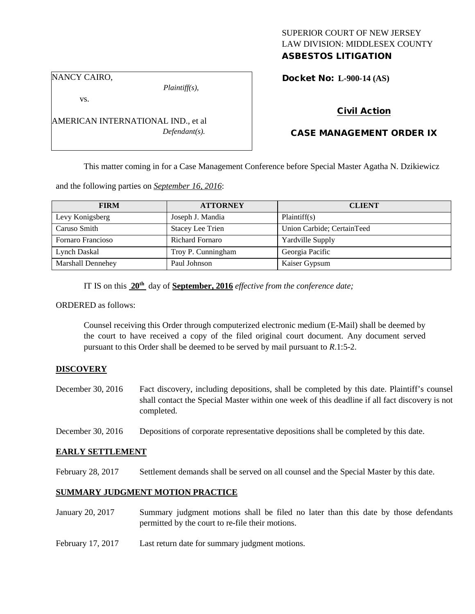# SUPERIOR COURT OF NEW JERSEY LAW DIVISION: MIDDLESEX COUNTY

# ASBESTOS LITIGATION

NANCY CAIRO,

*Plaintiff(s),*

Docket No: **L-900-14 (AS)** 

vs.

AMERICAN INTERNATIONAL IND., et al *Defendant(s).*

## Civil Action

## CASE MANAGEMENT ORDER IX

This matter coming in for a Case Management Conference before Special Master Agatha N. Dzikiewicz

and the following parties on *September 16, 2016*:

| <b>FIRM</b>       | <b>ATTORNEY</b>         | <b>CLIENT</b>              |
|-------------------|-------------------------|----------------------------|
| Levy Konigsberg   | Joseph J. Mandia        | Plaintiff(s)               |
| Caruso Smith      | <b>Stacey Lee Trien</b> | Union Carbide; CertainTeed |
| Fornaro Francioso | <b>Richard Fornaro</b>  | <b>Yardville Supply</b>    |
| Lynch Daskal      | Troy P. Cunningham      | Georgia Pacific            |
| Marshall Dennehey | Paul Johnson            | Kaiser Gypsum              |

IT IS on this **20th** day of **September, 2016** *effective from the conference date;*

ORDERED as follows:

Counsel receiving this Order through computerized electronic medium (E-Mail) shall be deemed by the court to have received a copy of the filed original court document. Any document served pursuant to this Order shall be deemed to be served by mail pursuant to *R*.1:5-2.

#### **DISCOVERY**

- December 30, 2016 Fact discovery, including depositions, shall be completed by this date. Plaintiff's counsel shall contact the Special Master within one week of this deadline if all fact discovery is not completed.
- December 30, 2016 Depositions of corporate representative depositions shall be completed by this date.

#### **EARLY SETTLEMENT**

February 28, 2017 Settlement demands shall be served on all counsel and the Special Master by this date.

# **SUMMARY JUDGMENT MOTION PRACTICE**

- January 20, 2017 Summary judgment motions shall be filed no later than this date by those defendants permitted by the court to re-file their motions.
- February 17, 2017 Last return date for summary judgment motions.